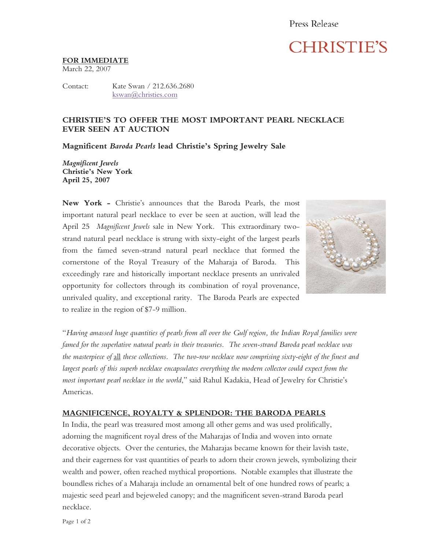# **CHRISTIE'S**

#### **FOR IMMEDIATE**

March 22, 2007

Contact: Kate Swan / 212.636.2680 kswan@christies.com

### **CHRISTIE'S TO OFFER THE MOST IMPORTANT PEARL NECKLACE EVER SEEN AT AUCTION**

**Magnificent** *Baroda Pearls* **lead Christie's Spring Jewelry Sale** 

*Magnificent Jewels*  **Christie's New York April 25, 2007** 

**New York -** Christie's announces that the Baroda Pearls, the most important natural pearl necklace to ever be seen at auction, will lead the April 25 *Magnificent Jewels* sale in New York. This extraordinary twostrand natural pearl necklace is strung with sixty-eight of the largest pearls from the famed seven-strand natural pearl necklace that formed the cornerstone of the Royal Treasury of the Maharaja of Baroda. This exceedingly rare and historically important necklace presents an unrivaled opportunity for collectors through its combination of royal provenance, unrivaled quality, and exceptional rarity. The Baroda Pearls are expected to realize in the region of \$7-9 million.



"*Having amassed huge quantities of pearls from all over the Gulf region, the Indian Royal families were famed for the superlative natural pearls in their treasuries. The seven-strand Baroda pearl necklace was the masterpiece of* all *these collections. The two-row necklace now comprising sixty-eight of the finest and largest pearls of this superb necklace encapsulates everything the modern collector could expect from the most important pearl necklace in the world*," said Rahul Kadakia, Head of Jewelry for Christie's Americas.

## **MAGNIFICENCE, ROYALTY & SPLENDOR: THE BARODA PEARLS**

In India, the pearl was treasured most among all other gems and was used prolifically, adorning the magnificent royal dress of the Maharajas of India and woven into ornate decorative objects. Over the centuries, the Maharajas became known for their lavish taste, and their eagerness for vast quantities of pearls to adorn their crown jewels, symbolizing their wealth and power, often reached mythical proportions. Notable examples that illustrate the boundless riches of a Maharaja include an ornamental belt of one hundred rows of pearls; a majestic seed pearl and bejeweled canopy; and the magnificent seven-strand Baroda pearl necklace.